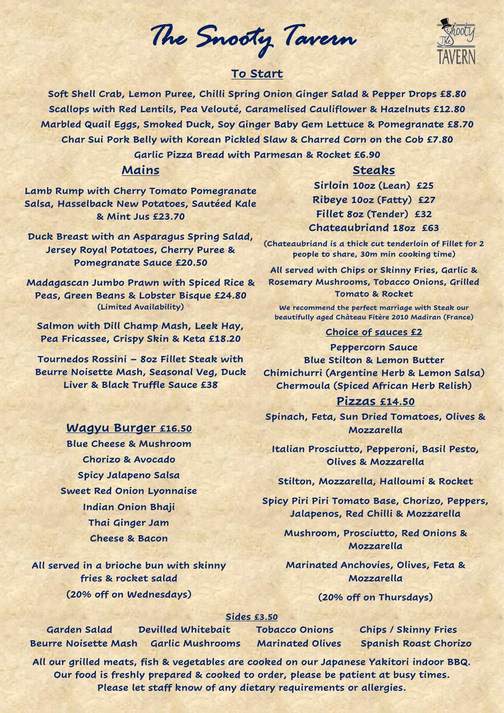*The Snooty Tavern* 

# **To Start**

**Soft Shell Crab, Lemon Puree, Chilli Spring Onion Ginger Salad & Pepper Drops £8.80 Scallops with Red Lentils, Pea Velouté, Caramelised Cauliflower & Hazelnuts £12.80 Marbled Quail Eggs, Smoked Duck, Soy Ginger Baby Gem Lettuce & Pomegranate £8.70 Char Sui Pork Belly with Korean Pickled Slaw & Charred Corn on the Cob £7.80 Garlic Pizza Bread with Parmesan & Rocket £6.90**

### **Mains**

**Lamb Rump with Cherry Tomato Pomegranate Salsa, Hasselback New Potatoes, Sautéed Kale & Mint Jus £23.70**

**Duck Breast with an Asparagus Spring Salad, Jersey Royal Potatoes, Cherry Puree & Pomegranate Sauce £20.50**

**Madagascan Jumbo Prawn with Spiced Rice & Peas, Green Beans & Lobster Bisque £24.80 (Limited Availability)**

**Salmon with Dill Champ Mash, Leek Hay, Pea Fricassee, Crispy Skin & Keta £18.20**

**Tournedos Rossini – 8oz Fillet Steak with Beurre Noisette Mash, Seasonal Veg, Duck Liver & Black Truffle Sauce £38**

## **Wagyu Burger £16.50**

**Blue Cheese & Mushroom Chorizo & Avocado Spicy Jalapeno Salsa Sweet Red Onion Lyonnaise Indian Onion Bhaji Thai Ginger Jam Cheese & Bacon**

**All served in a brioche bun with skinny fries & rocket salad (20% off on Wednesdays)**

# **Steaks**

**Sirloin 10oz (Lean) £25 Ribeye 10oz (Fatty) £27 Fillet 8oz (Tender) £32 Chateaubriand 18oz £63**

**(Chateaubriand is a thick cut tenderloin of Fillet for 2 people to share, 30m min cooking time)**

**All served with Chips or Skinny Fries, Garlic & Rosemary Mushrooms, Tobacco Onions, Grilled Tomato & Rocket**

**We recommend the perfect marriage with Steak our beautifully aged Château Fitère 2010 Madiran (France)**

#### **Choice of sauces £2**

**Peppercorn Sauce Blue Stilton & Lemon Butter Chimichurri (Argentine Herb & Lemon Salsa) Chermoula (Spiced African Herb Relish)** 

### **Pizzas £14.50**

**Spinach, Feta, Sun Dried Tomatoes, Olives & Mozzarella**

**Italian Prosciutto, Pepperoni, Basil Pesto, Olives & Mozzarella**

**Stilton, Mozzarella, Halloumi & Rocket**

**Spicy Piri Piri Tomato Base, Chorizo, Peppers, Jalapenos, Red Chilli & Mozzarella**

**Mushroom, Prosciutto, Red Onions & Mozzarella**

**Marinated Anchovies, Olives, Feta & Mozzarella**

## **(20% off on Thursdays)**

#### **Sides £3.50**

**Garden Salad Devilled Whitebait Tobacco Onions Chips / Skinny Fries Beurre Noisette Mash Garlic Mushrooms Marinated Olives Spanish Roast Chorizo** 

**All our grilled meats, fish & vegetables are cooked on our Japanese Yakitori indoor BBQ. Our food is freshly prepared & cooked to order, please be patient at busy times. Please let staff know of any dietary requirements or allergies.**